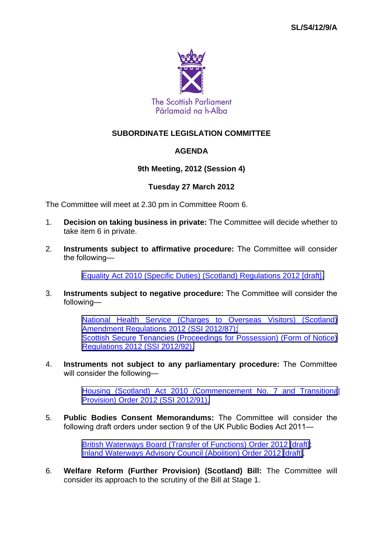

### **SUBORDINATE LEGISLATION COMMITTEE**

### **AGENDA**

#### **9th Meeting, 2012 (Session 4)**

#### **Tuesday 27 March 2012**

The Committee will meet at 2.30 pm in Committee Room 6.

- 1. **Decision on taking business in private:** The Committee will decide whether to take item 6 in private.
- 2. **Instruments subject to affirmative procedure:** The Committee will consider the following—

[Equality Act 2010 \(Specific Duties\) \(Scotland\) Regulations 2012 \[draft\].](http://www.legislation.gov.uk/sdsi/2012/9780111016718/contents)

3. **Instruments subject to negative procedure:** The Committee will consider the following—

> [National Health Service \(Charges to Overseas Visitors\) \(Scotland\)](http://www.legislation.gov.uk/ssi/2012/87/contents/made) [Amendment Regulations 2012 \(SSI 2012/87\);](http://www.legislation.gov.uk/ssi/2012/87/contents/made) [Scottish Secure Tenancies \(Proceedings for Possession\) \(Form of Notice\)](http://www.legislation.gov.uk/ssi/2012/92/contents/made) [Regulations 2012 \(SSI 2012/92\).](http://www.legislation.gov.uk/ssi/2012/92/contents/made)

4. **Instruments not subject to any parliamentary procedure:** The Committee will consider the following—

> [Housing \(Scotland\) Act 2010 \(Commencement No. 7 and Transitiona](http://www.legislation.gov.uk/ssi/2012/91/contents/made)l [Provision\) Order 2012 \(SSI 2012/91\).](http://www.legislation.gov.uk/ssi/2012/91/contents/made)

5. **Public Bodies Consent Memorandums:** The Committee will consider the following draft orders under section 9 of the UK Public Bodies Act 2011—

> [British Waterways Board \(Transfer of Functions\) Order 2012 \[draft\]](http://www.scottish.parliament.uk/parliamentarybusiness/Bills/48498.aspx); [Inland Waterways Advisory Council \(Abolition\) Order 2012 \[draft\].](http://www.scottish.parliament.uk/parliamentarybusiness/Bills/48500.aspx)

6. **Welfare Reform (Further Provision) (Scotland) Bill:** The Committee will consider its approach to the scrutiny of the Bill at Stage 1.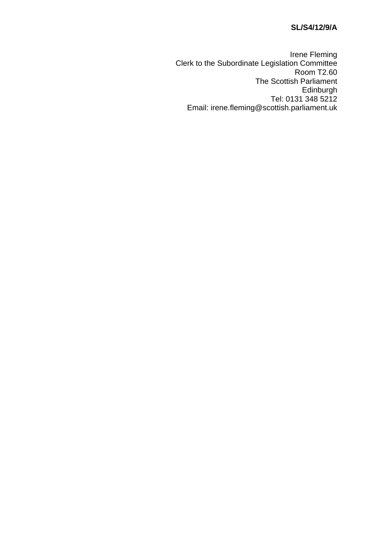## **SL/S4/12/9/A**

Irene Fleming Clerk to the Subordinate Legislation Committee Room T2.60 The Scottish Parliament Edinburgh Tel: 0131 348 5212 Email: irene.fleming@scottish.parliament.uk